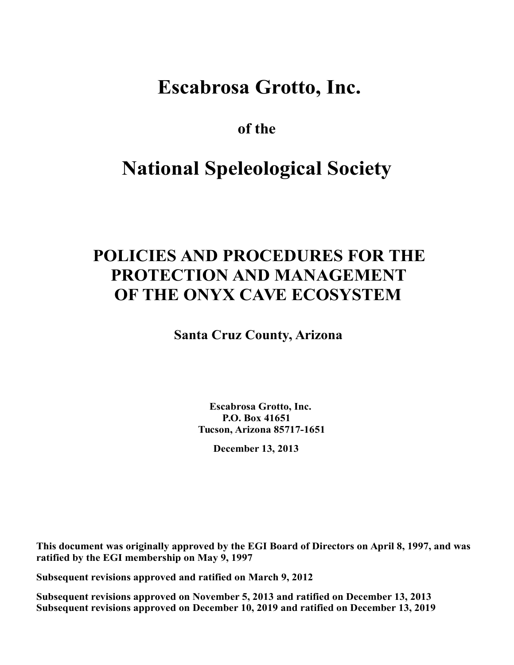## **Escabrosa Grotto, Inc.**

**of the** 

# **National Speleological Society**

## **POLICIES AND PROCEDURES FOR THE PROTECTION AND MANAGEMENT OF THE ONYX CAVE ECOSYSTEM**

**Santa Cruz County, Arizona**

**Escabrosa Grotto, Inc. P.O. Box 41651 Tucson, Arizona 85717-1651** 

**December 13, 2013** 

**This document was originally approved by the EGI Board of Directors on April 8, 1997, and was ratified by the EGI membership on May 9, 1997** 

**Subsequent revisions approved and ratified on March 9, 2012** 

**Subsequent revisions approved on November 5, 2013 and ratified on December 13, 2013 Subsequent revisions approved on December 10, 2019 and ratified on December 13, 2019**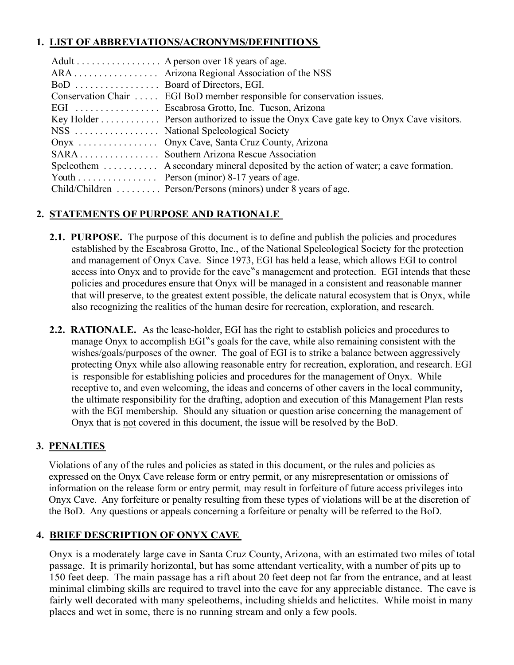#### **1. LIST OF ABBREVIATIONS/ACRONYMS/DEFINITIONS**

|                               | Adult A person over 18 years of age.                                                             |
|-------------------------------|--------------------------------------------------------------------------------------------------|
|                               |                                                                                                  |
| BoD  Board of Directors, EGI. |                                                                                                  |
|                               | Conservation Chair  EGI BoD member responsible for conservation issues.                          |
|                               | EGI  Escabrosa Grotto, Inc. Tucson, Arizona                                                      |
|                               | Key Holder Person authorized to issue the Onyx Cave gate key to Onyx Cave visitors.              |
|                               |                                                                                                  |
|                               | Onyx  Onyx Cave, Santa Cruz County, Arizona                                                      |
|                               | SARA Southern Arizona Rescue Association                                                         |
|                               | Speleothem $\dots \dots$ A secondary mineral deposited by the action of water; a cave formation. |
|                               | Youth Person (minor) 8-17 years of age.                                                          |
|                               | Child/Children  Person/Persons (minors) under 8 years of age.                                    |

#### **2. STATEMENTS OF PURPOSE AND RATIONALE**

- **2.1. PURPOSE.** The purpose of this document is to define and publish the policies and procedures established by the Escabrosa Grotto, Inc., of the National Speleological Society for the protection and management of Onyx Cave. Since 1973, EGI has held a lease, which allows EGI to control access into Onyx and to provide for the cave"s management and protection. EGI intends that these policies and procedures ensure that Onyx will be managed in a consistent and reasonable manner that will preserve, to the greatest extent possible, the delicate natural ecosystem that is Onyx, while also recognizing the realities of the human desire for recreation, exploration, and research.
- **2.2. RATIONALE.** As the lease-holder, EGI has the right to establish policies and procedures to manage Onyx to accomplish EGI"s goals for the cave, while also remaining consistent with the wishes/goals/purposes of the owner. The goal of EGI is to strike a balance between aggressively protecting Onyx while also allowing reasonable entry for recreation, exploration, and research. EGI is responsible for establishing policies and procedures for the management of Onyx. While receptive to, and even welcoming, the ideas and concerns of other cavers in the local community, the ultimate responsibility for the drafting, adoption and execution of this Management Plan rests with the EGI membership. Should any situation or question arise concerning the management of Onyx that is not covered in this document, the issue will be resolved by the BoD.

#### **3. PENALTIES**

 Violations of any of the rules and policies as stated in this document, or the rules and policies as expressed on the Onyx Cave release form or entry permit, or any misrepresentation or omissions of information on the release form or entry permit*,* may result in forfeiture of future access privileges into Onyx Cave. Any forfeiture or penalty resulting from these types of violations will be at the discretion of the BoD. Any questions or appeals concerning a forfeiture or penalty will be referred to the BoD.

#### **4. BRIEF DESCRIPTION OF ONYX CAVE**

Onyx is a moderately large cave in Santa Cruz County, Arizona, with an estimated two miles of total passage. It is primarily horizontal, but has some attendant verticality, with a number of pits up to 150 feet deep. The main passage has a rift about 20 feet deep not far from the entrance, and at least minimal climbing skills are required to travel into the cave for any appreciable distance. The cave is fairly well decorated with many speleothems, including shields and helictites. While moist in many places and wet in some, there is no running stream and only a few pools.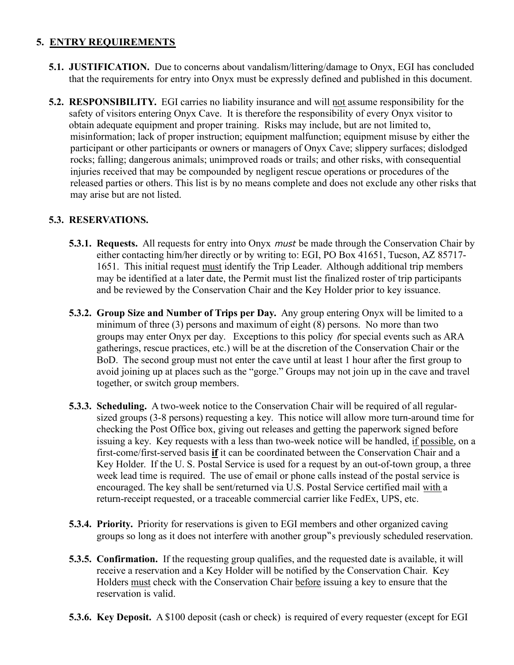#### **5. ENTRY REQUIREMENTS**

- **5.1. JUSTIFICATION.** Due to concerns about vandalism/littering/damage to Onyx, EGI has concluded that the requirements for entry into Onyx must be expressly defined and published in this document.
- **5.2. RESPONSIBILITY.** EGI carries no liability insurance and will not assume responsibility for the safety of visitors entering Onyx Cave. It is therefore the responsibility of every Onyx visitor to obtain adequate equipment and proper training. Risks may include, but are not limited to, misinformation; lack of proper instruction; equipment malfunction; equipment misuse by either the participant or other participants or owners or managers of Onyx Cave; slippery surfaces; dislodged rocks; falling; dangerous animals; unimproved roads or trails; and other risks, with consequential injuries received that may be compounded by negligent rescue operations or procedures of the released parties or others. This list is by no means complete and does not exclude any other risks that may arise but are not listed.

#### **5.3. RESERVATIONS.**

- **5.3.1. Requests.** All requests for entry into Onyx must be made through the Conservation Chair by either contacting him/her directly or by writing to: EGI, PO Box 41651, Tucson, AZ 85717- 1651. This initial request must identify the Trip Leader. Although additional trip members may be identified at a later date, the Permit must list the finalized roster of trip participants and be reviewed by the Conservation Chair and the Key Holder prior to key issuance.
- **5.3.2. Group Size and Number of Trips per Day.** Any group entering Onyx will be limited to a minimum of three (3) persons and maximum of eight (8) persons. No more than two groups may enter Onyx per day. Exceptions to this policy (for special events such as ARA gatherings, rescue practices, etc.) will be at the discretion of the Conservation Chair or the BoD. The second group must not enter the cave until at least 1 hour after the first group to avoid joining up at places such as the "gorge." Groups may not join up in the cave and travel together, or switch group members.
- **5.3.3. Scheduling.** A two-week notice to the Conservation Chair will be required of all regular sized groups (3-8 persons) requesting a key. This notice will allow more turn-around time for checking the Post Office box, giving out releases and getting the paperwork signed before issuing a key. Key requests with a less than two-week notice will be handled, if possible, on a first-come/first-served basis **if** it can be coordinated between the Conservation Chair and a Key Holder. If the U. S. Postal Service is used for a request by an out-of-town group, a three week lead time is required. The use of email or phone calls instead of the postal service is encouraged. The key shall be sent/returned via U.S. Postal Service certified mail with a return-receipt requested, or a traceable commercial carrier like FedEx, UPS, etc.
- **5.3.4. Priority.** Priority for reservations is given to EGI members and other organized caving groups so long as it does not interfere with another group"s previously scheduled reservation.
- **5.3.5. Confirmation.** If the requesting group qualifies, and the requested date is available, it will receive a reservation and a Key Holder will be notified by the Conservation Chair. Key Holders must check with the Conservation Chair before issuing a key to ensure that the reservation is valid.
- **5.3.6. Key Deposit.** A \$100 deposit (cash or check) is required of every requester (except for EGI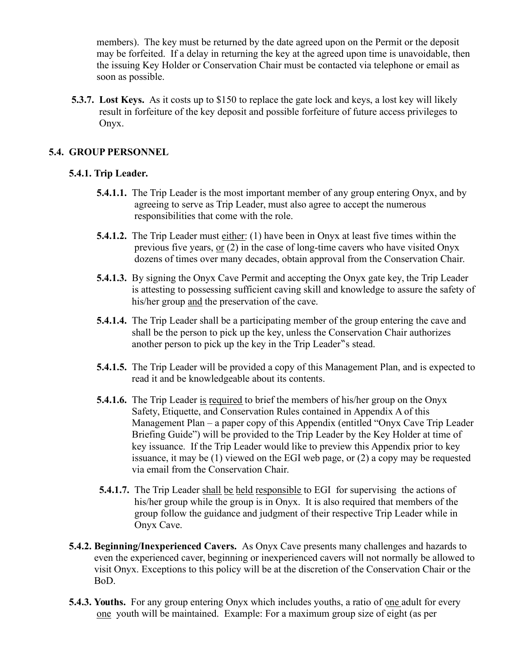members). The key must be returned by the date agreed upon on the Permit or the deposit may be forfeited. If a delay in returning the key at the agreed upon time is unavoidable, then the issuing Key Holder or Conservation Chair must be contacted via telephone or email as soon as possible.

 **5.3.7. Lost Keys.** As it costs up to \$150 to replace the gate lock and keys, a lost key will likely result in forfeiture of the key deposit and possible forfeiture of future access privileges to Onyx.

#### **5.4. GROUP PERSONNEL**

#### **5.4.1. Trip Leader.**

- **5.4.1.1.** The Trip Leader is the most important member of any group entering Onyx, and by agreeing to serve as Trip Leader, must also agree to accept the numerous responsibilities that come with the role.
- **5.4.1.2.** The Trip Leader must either: (1) have been in Onyx at least five times within the previous five years, or (2) in the case of long-time cavers who have visited Onyx dozens of times over many decades, obtain approval from the Conservation Chair.
- **5.4.1.3.** By signing the Onyx Cave Permit and accepting the Onyx gate key, the Trip Leader is attesting to possessing sufficient caving skill and knowledge to assure the safety of his/her group and the preservation of the cave.
- **5.4.1.4.** The Trip Leader shall be a participating member of the group entering the cave and shall be the person to pick up the key, unless the Conservation Chair authorizes another person to pick up the key in the Trip Leader "s stead.
- **5.4.1.5.** The Trip Leader will be provided a copy of this Management Plan, and is expected to read it and be knowledgeable about its contents.
- **5.4.1.6.** The Trip Leader is required to brief the members of his/her group on the Onyx Safety, Etiquette, and Conservation Rules contained in Appendix A of this Management Plan – a paper copy of this Appendix (entitled "Onyx Cave Trip Leader Briefing Guide") will be provided to the Trip Leader by the Key Holder at time of key issuance. If the Trip Leader would like to preview this Appendix prior to key issuance, it may be (1) viewed on the EGI web page, or (2) a copy may be requested via email from the Conservation Chair.
- **5.4.1.7.** The Trip Leader shall be held responsible to EGI for supervising the actions of his/her group while the group is in Onyx. It is also required that members of the group follow the guidance and judgment of their respective Trip Leader while in Onyx Cave.
- **5.4.2. Beginning/Inexperienced Cavers.** As Onyx Cave presents many challenges and hazards to even the experienced caver, beginning or inexperienced cavers will not normally be allowed to visit Onyx. Exceptions to this policy will be at the discretion of the Conservation Chair or the BoD.
- **5.4.3. Youths.** For any group entering Onyx which includes youths, a ratio of one adult for every one youth will be maintained. Example: For a maximum group size of eight (as per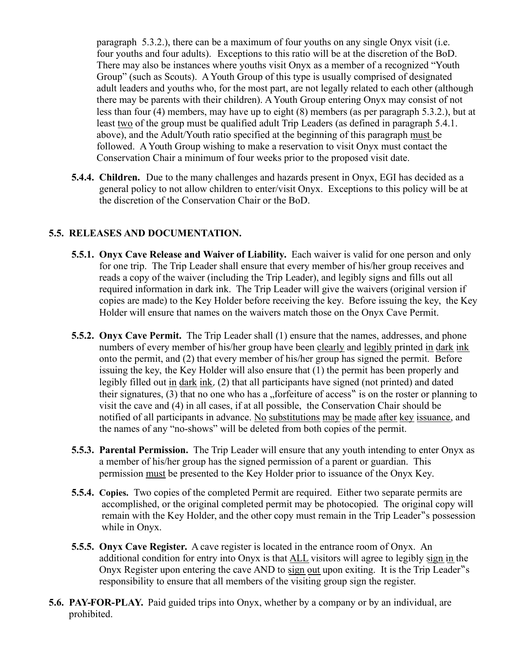paragraph 5.3.2.), there can be a maximum of four youths on any single Onyx visit (i.e. four youths and four adults). Exceptions to this ratio will be at the discretion of the BoD. There may also be instances where youths visit Onyx as a member of a recognized "Youth Group" (such as Scouts). A Youth Group of this type is usually comprised of designated adult leaders and youths who, for the most part, are not legally related to each other (although there may be parents with their children). A Youth Group entering Onyx may consist of not less than four (4) members, may have up to eight (8) members (as per paragraph 5.3.2.), but at least two of the group must be qualified adult Trip Leaders (as defined in paragraph 5.4.1. above), and the Adult/Youth ratio specified at the beginning of this paragraph must be followed. A Youth Group wishing to make a reservation to visit Onyx must contact the Conservation Chair a minimum of four weeks prior to the proposed visit date.

 **5.4.4. Children.** Due to the many challenges and hazards present in Onyx, EGI has decided as a general policy to not allow children to enter/visit Onyx. Exceptions to this policy will be at the discretion of the Conservation Chair or the BoD.

#### **5.5. RELEASES AND DOCUMENTATION.**

- **5.5.1. Onyx Cave Release and Waiver of Liability.** Each waiver is valid for one person and only for one trip. The Trip Leader shall ensure that every member of his/her group receives and reads a copy of the waiver (including the Trip Leader), and legibly signs and fills out all required information in dark ink. The Trip Leader will give the waivers (original version if copies are made) to the Key Holder before receiving the key. Before issuing the key, the Key Holder will ensure that names on the waivers match those on the Onyx Cave Permit.
- **5.5.2. Onyx Cave Permit.** The Trip Leader shall (1) ensure that the names, addresses, and phone numbers of every member of his/her group have been clearly and legibly printed in dark ink onto the permit, and (2) that every member of his/her group has signed the permit. Before issuing the key, the Key Holder will also ensure that (1) the permit has been properly and legibly filled out in dark ink, (2) that all participants have signed (not printed) and dated their signatures,  $(3)$  that no one who has a "forfeiture of access" is on the roster or planning to visit the cave and (4) in all cases, if at all possible, the Conservation Chair should be notified of all participants in advance. No substitutions may be made after key issuance, and the names of any "no-shows" will be deleted from both copies of the permit.
- **5.5.3. Parental Permission.** The Trip Leader will ensure that any youth intending to enter Onyx as a member of his/her group has the signed permission of a parent or guardian. This permission must be presented to the Key Holder prior to issuance of the Onyx Key.
- **5.5.4. Copies.** Two copies of the completed Permit are required. Either two separate permits are accomplished, or the original completed permit may be photocopied. The original copy will remain with the Key Holder, and the other copy must remain in the Trip Leader s possession while in Onyx.
- **5.5.5. Onyx Cave Register.** A cave register is located in the entrance room of Onyx. An additional condition for entry into Onyx is that ALL visitors will agree to legibly sign in the Onyx Register upon entering the cave AND to sign out upon exiting. It is the Trip Leader "s responsibility to ensure that all members of the visiting group sign the register.
- **5.6. PAY-FOR-PLAY.** Paid guided trips into Onyx, whether by a company or by an individual, are prohibited.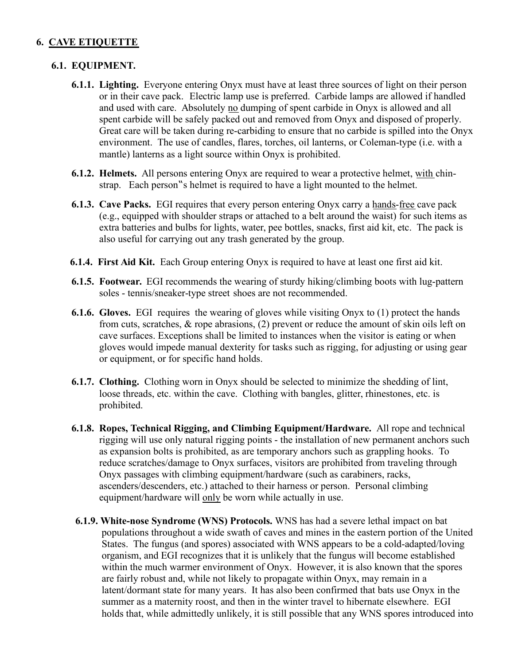#### **6. CAVE ETIQUETTE**

#### **6.1. EQUIPMENT.**

- **6.1.1. Lighting.** Everyone entering Onyx must have at least three sources of light on their person or in their cave pack. Electric lamp use is preferred. Carbide lamps are allowed if handled and used with care. Absolutely no dumping of spent carbide in Onyx is allowed and all spent carbide will be safely packed out and removed from Onyx and disposed of properly. Great care will be taken during re-carbiding to ensure that no carbide is spilled into the Onyx environment. The use of candles, flares, torches, oil lanterns, or Coleman-type (i.e. with a mantle) lanterns as a light source within Onyx is prohibited.
- **6.1.2. Helmets.** All persons entering Onyx are required to wear a protective helmet, with chin strap. Each person "s helmet is required to have a light mounted to the helmet.
- **6.1.3. Cave Packs.** EGI requires that every person entering Onyx carry a hands-free cave pack (e.g., equipped with shoulder straps or attached to a belt around the waist) for such items as extra batteries and bulbs for lights, water, pee bottles, snacks, first aid kit, etc. The pack is also useful for carrying out any trash generated by the group.
- **6.1.4. First Aid Kit.** Each Group entering Onyx is required to have at least one first aid kit.
- **6.1.5. Footwear.** EGI recommends the wearing of sturdy hiking/climbing boots with lug-pattern soles - tennis/sneaker-type street shoes are not recommended.
- **6.1.6. Gloves.** EGI requires the wearing of gloves while visiting Onyx to (1) protect the hands from cuts, scratches, & rope abrasions, (2) prevent or reduce the amount of skin oils left on cave surfaces. Exceptions shall be limited to instances when the visitor is eating or when gloves would impede manual dexterity for tasks such as rigging, for adjusting or using gear or equipment, or for specific hand holds.
- **6.1.7. Clothing.** Clothing worn in Onyx should be selected to minimize the shedding of lint, loose threads, etc. within the cave. Clothing with bangles, glitter, rhinestones, etc. is prohibited.
- **6.1.8. Ropes, Technical Rigging, and Climbing Equipment/Hardware.** All rope and technical rigging will use only natural rigging points - the installation of new permanent anchors such as expansion bolts is prohibited, as are temporary anchors such as grappling hooks. To reduce scratches/damage to Onyx surfaces, visitors are prohibited from traveling through Onyx passages with climbing equipment/hardware (such as carabiners, racks, ascenders/descenders, etc.) attached to their harness or person. Personal climbing equipment/hardware will only be worn while actually in use.
- **6.1.9. White-nose Syndrome (WNS) Protocols.** WNS has had a severe lethal impact on bat populations throughout a wide swath of caves and mines in the eastern portion of the United States. The fungus (and spores) associated with WNS appears to be a cold-adapted/loving organism, and EGI recognizes that it is unlikely that the fungus will become established within the much warmer environment of Onyx. However, it is also known that the spores are fairly robust and, while not likely to propagate within Onyx, may remain in a latent/dormant state for many years. It has also been confirmed that bats use Onyx in the summer as a maternity roost, and then in the winter travel to hibernate elsewhere. EGI holds that, while admittedly unlikely, it is still possible that any WNS spores introduced into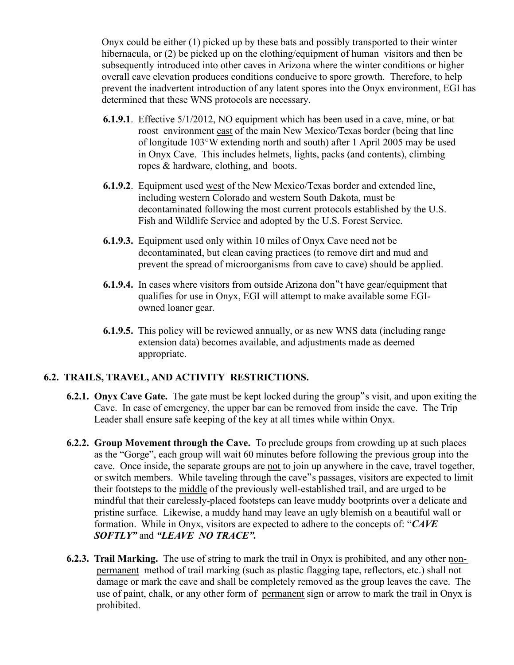Onyx could be either (1) picked up by these bats and possibly transported to their winter hibernacula, or (2) be picked up on the clothing/equipment of human visitors and then be subsequently introduced into other caves in Arizona where the winter conditions or higher overall cave elevation produces conditions conducive to spore growth. Therefore, to help prevent the inadvertent introduction of any latent spores into the Onyx environment, EGI has determined that these WNS protocols are necessary.

- **6.1.9.1**. Effective 5/1/2012, NO equipment which has been used in a cave, mine, or bat roost environment east of the main New Mexico/Texas border (being that line of longitude 103°W extending north and south) after 1 April 2005 may be used in Onyx Cave. This includes helmets, lights, packs (and contents), climbing ropes & hardware, clothing, and boots.
- **6.1.9.2**. Equipment used west of the New Mexico/Texas border and extended line, including western Colorado and western South Dakota, must be decontaminated following the most current protocols established by the U.S. Fish and Wildlife Service and adopted by the U.S. Forest Service.
- **6.1.9.3.** Equipment used only within 10 miles of Onyx Cave need not be decontaminated, but clean caving practices (to remove dirt and mud and prevent the spread of microorganisms from cave to cave) should be applied.
- **6.1.9.4.** In cases where visitors from outside Arizona don "t have gear/equipment that qualifies for use in Onyx, EGI will attempt to make available some EGI owned loaner gear.
- **6.1.9.5.** This policy will be reviewed annually, or as new WNS data (including range extension data) becomes available, and adjustments made as deemed appropriate.

#### **6.2. TRAILS, TRAVEL, AND ACTIVITY RESTRICTIONS.**

- **6.2.1. Onyx Cave Gate.** The gate must be kept locked during the group s visit, and upon exiting the Cave. In case of emergency, the upper bar can be removed from inside the cave. The Trip Leader shall ensure safe keeping of the key at all times while within Onyx.
- **6.2.2. Group Movement through the Cave.** To preclude groups from crowding up at such places as the "Gorge", each group will wait 60 minutes before following the previous group into the cave. Once inside, the separate groups are not to join up anywhere in the cave, travel together, or switch members. While taveling through the cave "s passages, visitors are expected to limit their footsteps to the middle of the previously well-established trail, and are urged to be mindful that their carelessly-placed footsteps can leave muddy bootprints over a delicate and pristine surface. Likewise, a muddy hand may leave an ugly blemish on a beautiful wall or formation. While in Onyx, visitors are expected to adhere to the concepts of: "*CAVE SOFTLY"* and *"LEAVE NO TRACE".*
- **6.2.3. Trail Marking.** The use of string to mark the trail in Onyx is prohibited, and any other non permanent method of trail marking (such as plastic flagging tape, reflectors, etc.) shall not damage or mark the cave and shall be completely removed as the group leaves the cave. The use of paint, chalk, or any other form of permanent sign or arrow to mark the trail in Onyx is prohibited.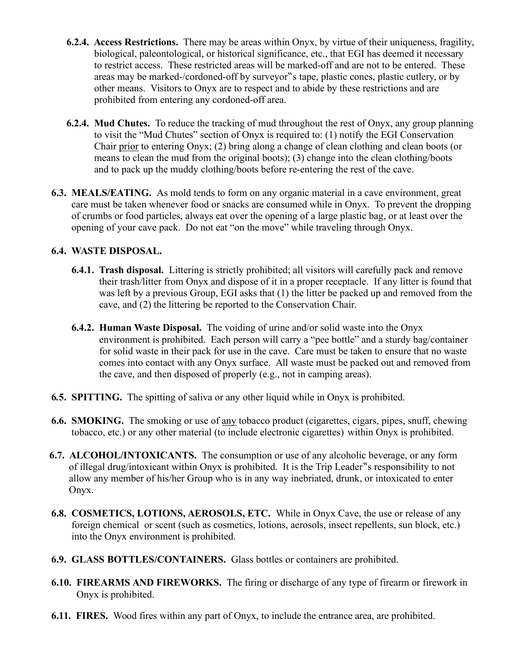- **6.2.4. Access Restrictions.** There may be areas within Onyx, by virtue of their uniqueness, fragility, biological, paleontological, or historical significance, etc., that EGI has deemed it necessary to restrict access. These restricted areas will be marked-off and are not to be entered. These areas may be marked-/cordoned-off by surveyor"s tape, plastic cones, plastic cutlery, or by other means. Visitors to Onyx are to respect and to abide by these restrictions and are prohibited from entering any cordoned-off area.
- **6.2.4. Mud Chutes.** To reduce the tracking of mud throughout the rest of Onyx, any group planning to visit the "Mud Chutes" section of Onyx is required to: (1) notify the EGI Conservation Chair prior to entering Onyx; (2) bring along a change of clean clothing and clean boots (or means to clean the mud from the original boots); (3) change into the clean clothing/boots and to pack up the muddy clothing/boots before re-entering the rest of the cave.
- **6.3. MEALS/EATING.** As mold tends to form on any organic material in a cave environment, great care must be taken whenever food or snacks are consumed while in Onyx. To prevent the dropping of crumbs or food particles, always eat over the opening of a large plastic bag, or at least over the opening of your cave pack. Do not eat "on the move" while traveling through Onyx.

#### **6.4. WASTE DISPOSAL.**

- **6.4.1. Trash disposal.** Littering is strictly prohibited; all visitors will carefully pack and remove their trash/litter from Onyx and dispose of it in a proper receptacle. If any litter is found that was left by a previous Group, EGI asks that (1) the litter be packed up and removed from the cave, and (2) the littering be reported to the Conservation Chair.
- **6.4.2. Human Waste Disposal.** The voiding of urine and/or solid waste into the Onyx environment is prohibited. Each person will carry a "pee bottle" and a sturdy bag/container for solid waste in their pack for use in the cave. Care must be taken to ensure that no waste comes into contact with any Onyx surface. All waste must be packed out and removed from the cave, and then disposed of properly (e.g., not in camping areas).
- **6***.***5.****SPITTING.** The spitting of saliva or any other liquid while in Onyx is prohibited.
- **6.6. SMOKING.** The smoking or use of any tobacco product (cigarettes, cigars, pipes, snuff, chewing tobacco, etc.) or any other material (to include electronic cigarettes) within Onyx is prohibited.
- **6.7. ALCOHOL/INTOXICANTS.** The consumption or use of any alcoholic beverage, or any form of illegal drug/intoxicant within Onyx is prohibited. It is the Trip Leader "s responsibility to not allow any member of his/her Group who is in any way inebriated, drunk, or intoxicated to enter Onyx.
- **6.8. COSMETICS, LOTIONS, AEROSOLS, ETC.** While in Onyx Cave, the use or release of any foreign chemical or scent (such as cosmetics, lotions, aerosols, insect repellents, sun block, etc.) into the Onyx environment is prohibited.
- **6.9. GLASS BOTTLES/CONTAINERS.** Glass bottles or containers are prohibited.
- **6.10. FIREARMS AND FIREWORKS.** The firing or discharge of any type of firearm or firework in Onyx is prohibited.
- **6.11. FIRES.** Wood fires within any part of Onyx, to include the entrance area, are prohibited.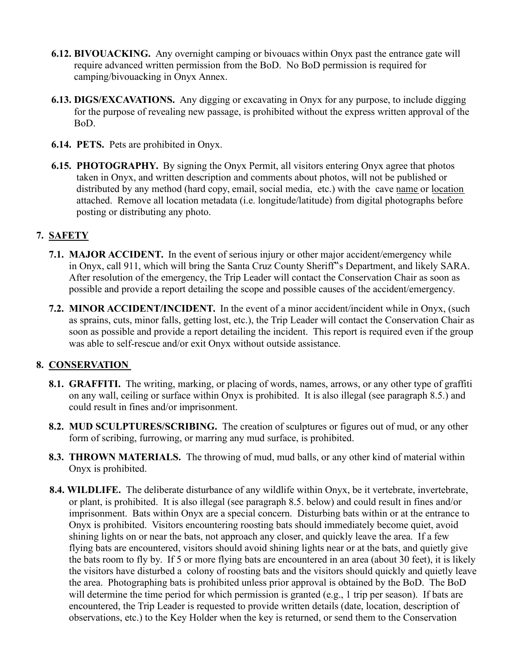- **6.12. BIVOUACKING.** Any overnight camping or bivouacs within Onyx past the entrance gate will require advanced written permission from the BoD. No BoD permission is required for camping/bivouacking in Onyx Annex.
- **6.13. DIGS/EXCAVATIONS.** Any digging or excavating in Onyx for any purpose, to include digging for the purpose of revealing new passage, is prohibited without the express written approval of the BoD.
- **6.14. PETS.** Pets are prohibited in Onyx.
- **6.15. PHOTOGRAPHY.** By signing the Onyx Permit, all visitors entering Onyx agree that photos taken in Onyx, and written description and comments about photos, will not be published or distributed by any method (hard copy, email, social media, etc.) with the cave name or location attached. Remove all location metadata (i.e. longitude/latitude) from digital photographs before posting or distributing any photo.

#### **7. SAFETY**

- **7.1. MAJOR ACCIDENT.** In the event of serious injury or other major accident/emergency while in Onyx, call 911, which will bring the Santa Cruz County Sheriff"s Department, and likely SARA. After resolution of the emergency, the Trip Leader will contact the Conservation Chair as soon as possible and provide a report detailing the scope and possible causes of the accident/emergency.
- **7.2. MINOR ACCIDENT/INCIDENT.** In the event of a minor accident/incident while in Onyx, (such as sprains, cuts, minor falls, getting lost, etc.), the Trip Leader will contact the Conservation Chair as soon as possible and provide a report detailing the incident. This report is required even if the group was able to self-rescue and/or exit Onyx without outside assistance.

#### **8. CONSERVATION**

- **8.1. GRAFFITI.** The writing, marking, or placing of words, names, arrows, or any other type of graffiti on any wall, ceiling or surface within Onyx is prohibited. It is also illegal (see paragraph 8.5.) and could result in fines and/or imprisonment.
- **8.2. MUD SCULPTURES/SCRIBING.** The creation of sculptures or figures out of mud, or any other form of scribing, furrowing, or marring any mud surface, is prohibited.
- **8.3. THROWN MATERIALS.** The throwing of mud, mud balls, or any other kind of material within Onyx is prohibited.
- **8.4. WILDLIFE.** The deliberate disturbance of any wildlife within Onyx, be it vertebrate, invertebrate, or plant, is prohibited. It is also illegal (see paragraph 8.5. below) and could result in fines and/or imprisonment. Bats within Onyx are a special concern. Disturbing bats within or at the entrance to Onyx is prohibited. Visitors encountering roosting bats should immediately become quiet, avoid shining lights on or near the bats, not approach any closer, and quickly leave the area. If a few flying bats are encountered, visitors should avoid shining lights near or at the bats, and quietly give the bats room to fly by. If 5 or more flying bats are encountered in an area (about 30 feet), it is likely the visitors have disturbed a colony of roosting bats and the visitors should quickly and quietly leave the area. Photographing bats is prohibited unless prior approval is obtained by the BoD. The BoD will determine the time period for which permission is granted (e.g., 1 trip per season). If bats are encountered, the Trip Leader is requested to provide written details (date, location, description of observations, etc.) to the Key Holder when the key is returned, or send them to the Conservation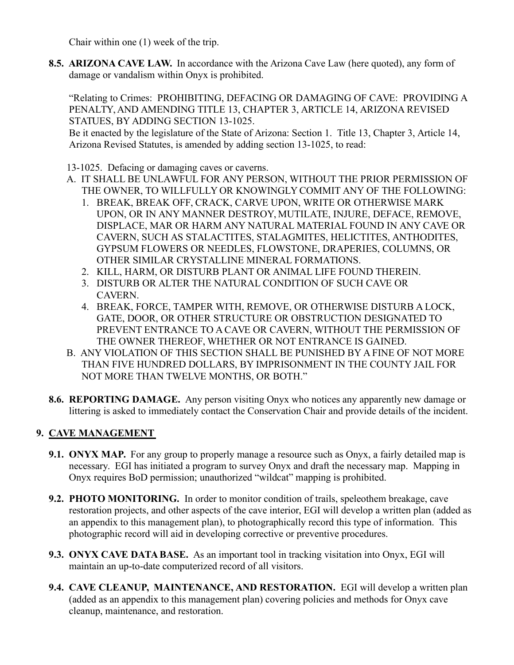Chair within one (1) week of the trip.

 **8.5. ARIZONA CAVE LAW.** In accordance with the Arizona Cave Law (here quoted), any form of damage or vandalism within Onyx is prohibited.

 "Relating to Crimes: PROHIBITING, DEFACING OR DAMAGING OF CAVE: PROVIDING A PENALTY, AND AMENDING TITLE 13, CHAPTER 3, ARTICLE 14, ARIZONA REVISED STATUES, BY ADDING SECTION 13-1025.

 Be it enacted by the legislature of the State of Arizona: Section 1. Title 13, Chapter 3, Article 14, Arizona Revised Statutes, is amended by adding section 13-1025, to read:

13-1025. Defacing or damaging caves or caverns.

- A. IT SHALL BE UNLAWFUL FOR ANY PERSON, WITHOUT THE PRIOR PERMISSION OF THE OWNER, TO WILLFULLY OR KNOWINGLY COMMIT ANY OF THE FOLLOWING:
	- 1. BREAK, BREAK OFF, CRACK, CARVE UPON, WRITE OR OTHERWISE MARK UPON, OR IN ANY MANNER DESTROY, MUTILATE, INJURE, DEFACE, REMOVE, DISPLACE, MAR OR HARM ANY NATURAL MATERIAL FOUND IN ANY CAVE OR CAVERN, SUCH AS STALACTITES, STALAGMITES, HELICTITES, ANTHODITES, GYPSUM FLOWERS OR NEEDLES, FLOWSTONE, DRAPERIES, COLUMNS, OR OTHER SIMILAR CRYSTALLINE MINERAL FORMATIONS.
	- 2. KILL, HARM, OR DISTURB PLANT OR ANIMAL LIFE FOUND THEREIN.
	- 3. DISTURB OR ALTER THE NATURAL CONDITION OF SUCH CAVE OR **CAVERN**
	- 4. BREAK, FORCE, TAMPER WITH, REMOVE, OR OTHERWISE DISTURB A LOCK, GATE, DOOR, OR OTHER STRUCTURE OR OBSTRUCTION DESIGNATED TO PREVENT ENTRANCE TO A CAVE OR CAVERN, WITHOUT THE PERMISSION OF THE OWNER THEREOF, WHETHER OR NOT ENTRANCE IS GAINED.
- B. ANY VIOLATION OF THIS SECTION SHALL BE PUNISHED BY A FINE OF NOT MORE THAN FIVE HUNDRED DOLLARS, BY IMPRISONMENT IN THE COUNTY JAIL FOR NOT MORE THAN TWELVE MONTHS, OR BOTH."
- **8.6. REPORTING DAMAGE.** Any person visiting Onyx who notices any apparently new damage or littering is asked to immediately contact the Conservation Chair and provide details of the incident.

#### **9. CAVE MANAGEMENT**

- **9.1. ONYX MAP.** For any group to properly manage a resource such as Onyx, a fairly detailed map is necessary. EGI has initiated a program to survey Onyx and draft the necessary map. Mapping in Onyx requires BoD permission; unauthorized "wildcat" mapping is prohibited.
- **9.2. PHOTO MONITORING.** In order to monitor condition of trails, speleothem breakage, cave restoration projects, and other aspects of the cave interior, EGI will develop a written plan (added as an appendix to this management plan), to photographically record this type of information. This photographic record will aid in developing corrective or preventive procedures.
- **9.3. ONYX CAVE DATA BASE.** As an important tool in tracking visitation into Onyx, EGI will maintain an up-to-date computerized record of all visitors.
- **9.4. CAVE CLEANUP, MAINTENANCE, AND RESTORATION.** EGI will develop a written plan (added as an appendix to this management plan) covering policies and methods for Onyx cave cleanup, maintenance, and restoration.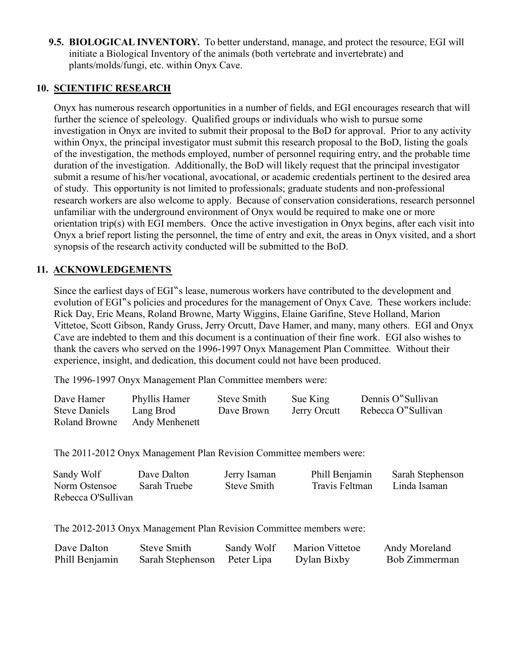**9.5. BIOLOGICAL INVENTORY.** To better understand, manage, and protect the resource, EGI will initiate a Biological Inventory of the animals (both vertebrate and invertebrate) and plants/molds/fungi, etc. within Onyx Cave.

#### **10. SCIENTIFIC RESEARCH**

 Onyx has numerous research opportunities in a number of fields, and EGI encourages research that will further the science of speleology. Qualified groups or individuals who wish to pursue some investigation in Onyx are invited to submit their proposal to the BoD for approval. Prior to any activity within Onyx, the principal investigator must submit this research proposal to the BoD, listing the goals of the investigation, the methods employed, number of personnel requiring entry, and the probable time duration of the investigation. Additionally, the BoD will likely request that the principal investigator submit a resume of his/her vocational, avocational, or academic credentials pertinent to the desired area of study. This opportunity is not limited to professionals; graduate students and non-professional research workers are also welcome to apply. Because of conservation considerations, research personnel unfamiliar with the underground environment of Onyx would be required to make one or more orientation trip(s) with EGI members. Once the active investigation in Onyx begins, after each visit into Onyx a brief report listing the personnel, the time of entry and exit, the areas in Onyx visited, and a short synopsis of the research activity conducted will be submitted to the BoD.

#### **11. ACKNOWLEDGEMENTS**

Since the earliest days of EGI"s lease, numerous workers have contributed to the development and evolution of EGI"s policies and procedures for the management of Onyx Cave. These workers include: Rick Day, Eric Means, Roland Browne, Marty Wiggins, Elaine Garifine, Steve Holland, Marion Vittetoe, Scott Gibson, Randy Gruss, Jerry Orcutt, Dave Hamer, and many, many others. EGI and Onyx Cave are indebted to them and this document is a continuation of their fine work. EGI also wishes to thank the cavers who served on the 1996-1997 Onyx Management Plan Committee. Without their experience, insight, and dedication, this document could not have been produced.

The 1996-1997 Onyx Management Plan Committee members were:

| Dave Hamer           | Phyllis Hamer  | <b>Steve Smith</b> | Sue King     | Dennis O"Sullivan  |
|----------------------|----------------|--------------------|--------------|--------------------|
| <b>Steve Daniels</b> | Lang Brod      | Dave Brown         | Jerry Orcutt | Rebecca O"Sullivan |
| Roland Browne        | Andy Menhenett |                    |              |                    |

The 2011-2012 Onyx Management Plan Revision Committee members were:

| Sandy Wolf         | Dave Dalton  | Jerry Isaman | Phill Benjamin | Sarah Stephenson |
|--------------------|--------------|--------------|----------------|------------------|
| Norm Ostensoe      | Sarah Truebe | Steve Smith  | Travis Feltman | Linda Isaman     |
| Rebecca O'Sullivan |              |              |                |                  |

The 2012-2013 Onyx Management Plan Revision Committee members were:

| Dave Dalton    | Steve Smith      | Sandy Wolf | <b>Marion Vittetoe</b> | Andy Moreland |
|----------------|------------------|------------|------------------------|---------------|
| Phill Benjamin | Sarah Stephenson | Peter Lipa | Dylan Bixby            | Bob Zimmerman |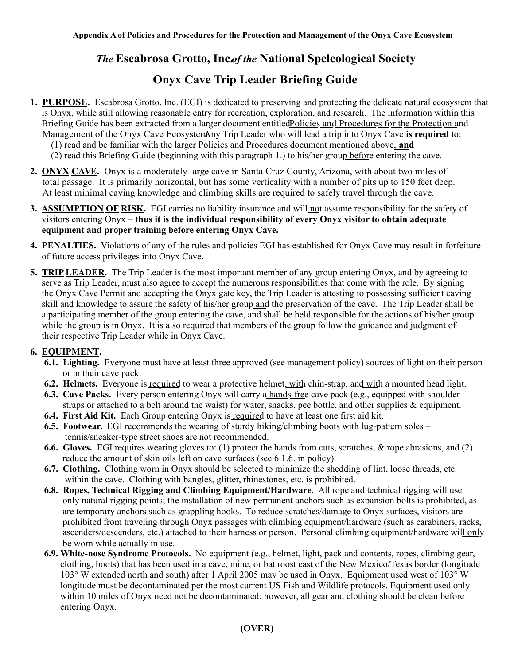### **The Escabrosa Grotto, Incof the National Speleological Society**

### **Onyx Cave Trip Leader Briefing Guide**

- **1. PURPOSE.** Escabrosa Grotto, Inc. (EGI) is dedicated to preserving and protecting the delicate natural ecosystem that is Onyx, while still allowing reasonable entry for recreation, exploration, and research. The information within this Briefing Guide has been extracted from a larger document entitled Policies and Procedures for the Protection and Management of the Onyx Cave EcosystemAny Trip Leader who will lead a trip into Onyx Cave is required to:
	- (1) read and be familiar with the larger Policies and Procedures document mentioned above, **and**
	- $(2)$  read this Briefing Guide (beginning with this paragraph 1.) to his/her group before entering the cave.
- **2. ONYX CAVE.** Onyx is a moderately large cave in Santa Cruz County, Arizona, with about two miles of total passage. It is primarily horizontal, but has some verticality with a number of pits up to 150 feet deep. At least minimal caving knowledge and climbing skills are required to safely travel through the cave.
- **3. ASSUMPTION OF RISK.** EGI carries no liability insurance and will not assume responsibility for the safety of visitors entering Onyx – **thus it is the individual responsibility of every Onyx visitor to obtain adequate equipment and proper training before entering Onyx Cave.**
- **4. PENALTIES.** Violations of any of the rules and policies EGI has established for Onyx Cave may result in forfeiture of future access privileges into Onyx Cave.
- **5. TRIP LEADER.** The Trip Leader is the most important member of any group entering Onyx, and by agreeing to serve as Trip Leader, must also agree to accept the numerous responsibilities that come with the role. By signing the Onyx Cave Permit and accepting the Onyx gate key, the Trip Leader is attesting to possessing sufficient caving skill and knowledge to assure the safety of his/her group and the preservation of the cave. The Trip Leader shall be a participating member of the group entering the cave, and shall be held responsible for the actions of his/her group while the group is in Onyx. It is also required that members of the group follow the guidance and judgment of their respective Trip Leader while in Onyx Cave.

#### **6. EQUIPMENT.**

- **6.1. Lighting.** Everyone must have at least three approved (see management policy) sources of light on their person or in their cave pack.
- **6.2. Helmets.** Everyone is required to wear a protective helmet, with chin-strap, and with a mounted head light.
- **6.3. Cave Packs.** Every person entering Onyx will carry a hands-free cave pack (e.g., equipped with shoulder straps or attached to a belt around the waist) for water, snacks, pee bottle, and other supplies & equipment.
- **6.4. First Aid Kit.** Each Group entering Onyx is required to have at least one first aid kit.
- **6.5. Footwear.** EGI recommends the wearing of sturdy hiking/climbing boots with lug-pattern soles tennis/sneaker-type street shoes are not recommended.
- **6.6. Gloves.** EGI requires wearing gloves to: (1) protect the hands from cuts, scratches, & rope abrasions, and (2) reduce the amount of skin oils left on cave surfaces (see 6.1.6. in policy).
- **6.7. Clothing.** Clothing worn in Onyx should be selected to minimize the shedding of lint, loose threads, etc. within the cave. Clothing with bangles, glitter, rhinestones, etc. is prohibited.
- **6.8. Ropes, Technical Rigging and Climbing Equipment/Hardware.** All rope and technical rigging will use only natural rigging points; the installation of new permanent anchors such as expansion bolts is prohibited, as are temporary anchors such as grappling hooks. To reduce scratches/damage to Onyx surfaces, visitors are prohibited from traveling through Onyx passages with climbing equipment/hardware (such as carabiners, racks, ascenders/descenders, etc.) attached to their harness or person. Personal climbing equipment/hardware will only be worn while actually in use.
- **6.9. White-nose Syndrome Protocols.** No equipment (e.g., helmet, light, pack and contents, ropes, climbing gear, clothing, boots) that has been used in a cave, mine, or bat roost east of the New Mexico/Texas border (longitude 103° W extended north and south) after 1 April 2005 may be used in Onyx. Equipment used west of 103° W longitude must be decontaminated per the most current US Fish and Wildlife protocols. Equipment used only within 10 miles of Onyx need not be decontaminated; however, all gear and clothing should be clean before entering Onyx.